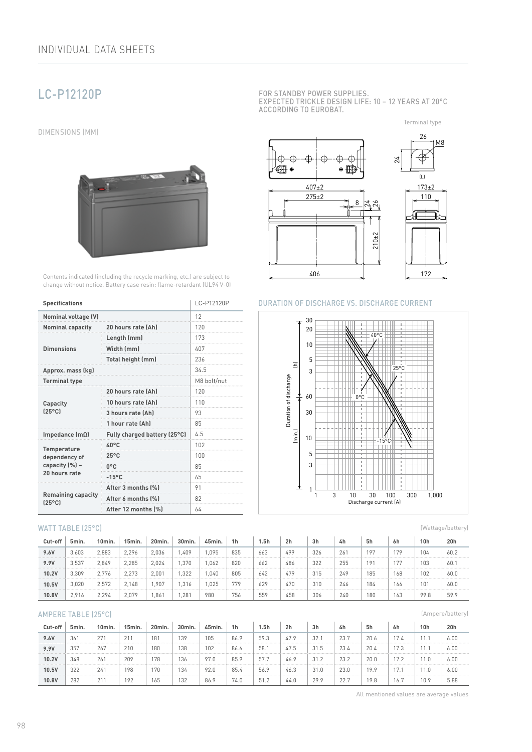# LC-P12120P

DIMENSIONS (MM)



Contents indicated (including the recycle marking, etc.) are subject to change without notice. Battery case resin: flame-retardant (UL94 V-0)

| <b>Specifications</b>                        | LC-P12120P                   |     |  |  |  |
|----------------------------------------------|------------------------------|-----|--|--|--|
| <b>Nominal voltage (V)</b>                   | 12                           |     |  |  |  |
| <b>Nominal capacity</b>                      | 20 hours rate (Ah)           | 120 |  |  |  |
|                                              | Length (mm)                  | 173 |  |  |  |
| <b>Dimensions</b>                            | Width (mm)                   | 407 |  |  |  |
|                                              | Total height (mm)            | 236 |  |  |  |
| Approx. mass (kg)                            | 34.5                         |     |  |  |  |
| <b>Terminal type</b>                         | M8 bolt/nut                  |     |  |  |  |
|                                              | 20 hours rate [Ah]           | 120 |  |  |  |
| Capacity                                     | 10 hours rate (Ah)           | 110 |  |  |  |
| $[25^{\circ}C]$                              | 3 hours rate (Ah)            | 93  |  |  |  |
|                                              | 1 hour rate (Ah)             | 85  |  |  |  |
| Impedance $(m\Omega)$                        | Fully charged battery (25°C) | 4.5 |  |  |  |
| <b>Temperature</b>                           | 40°C                         | 102 |  |  |  |
| dependency of                                | $25^{\circ}$ C               | 100 |  |  |  |
| capacity (%) -                               | $0^{\circ}$ C                | 85  |  |  |  |
| 20 hours rate                                | $-15^{\circ}$ C              | 65  |  |  |  |
|                                              | After 3 months (%)           | 91  |  |  |  |
| <b>Remaining capacity</b><br>$[25^{\circ}$ C | After 6 months [%]           | 82  |  |  |  |
|                                              | After 12 months (%)          | 64  |  |  |  |

#### WATT TABLE (25°C)

| Cut-off | 5min. | 10min. | 15min. | 20min. | 30min. | 45min. | 1 <sub>h</sub> | 5h  | 2 <sub>h</sub> | 3h  | 4h  | 5h  | 6h  | 10h  | 20h  |
|---------|-------|--------|--------|--------|--------|--------|----------------|-----|----------------|-----|-----|-----|-----|------|------|
| 9.6V    | 3.603 | 2.883  | 2.296  | 2.036  | .409   | .095   | 835            | 663 | 499            | 326 | 261 | 197 | 179 | 104  | 60.2 |
| 9.9V    | 3.537 | 2.849  | 2.285  | 2,024  | .370   | .062   | 820            | 662 | 486            | 322 | 255 | 191 | 177 | 103  | 60.1 |
| 10.2V   | 3.309 | 2.776  | 2.273  | 2.001  | .322   | .040   | 805            | 642 | 479            | 315 | 249 | 185 | 168 | 102  | 60.0 |
| 10.5V   | 3.020 | 2.572  | 2.148  | .907   | .316   | .025   | 779            | 629 | 470            | 310 | 246 | 184 | 166 | 101  | 60.0 |
| 10.8V   | 2,916 | 2.294  | 2.079  | .861   | .281   | 980    | 756            | 559 | 458            | 306 | 240 | 180 | 163 | 99.8 | 59.9 |

#### AMPERE TABLE (25°C)

| Cut-off | 5min. | 10min.       | 15min. | 20min.          | 30min. | 45min. | 1h   | 5h   | 2h   | 3h   | 4h   | 5h   | 6h              | 10h  | 20h  |
|---------|-------|--------------|--------|-----------------|--------|--------|------|------|------|------|------|------|-----------------|------|------|
| 9.6V    | 361   | 271          | 211    | 18 <sup>1</sup> | 139    | 105    | 86.9 | 59.3 | 47.9 | 32.1 | 23.7 | 20.6 | 17.4            |      | 6.00 |
| 9.9V    | 357   | 267          | 210    | 180             | 138    | 102    | 86.6 | 58.  | 47.5 | 31.5 | 23.4 | 20.4 | 170             |      | 6.00 |
| 10.2V   | 348   | 261          | 209    | 178             | 136    | 97.0   | 85.9 | 57.7 | 46.9 | 31.2 | 23.2 | 20.0 | 170             | 1.0  | 6.00 |
| 10.5V   | 322   | 241          | 198    | 170             | 134    | 92.0   | 85.4 | 56.9 | 46.3 | 31.0 | 23.0 | 19.9 | 4 <sub>77</sub> |      | 6.00 |
| 10.8V   | 282   | $21^{\circ}$ | 192    | 165             | 132    | 86.9   | 74.0 | 51.2 | 44.0 | 29.9 | 22.7 | 19.8 | 16.             | 10.9 | 5.88 |

FOR STANDBY POWER SUPPLIES. EXPECTED TRICKLE DESIGN LIFE: 10 – 12 YEARS AT 20°C ACCORDING TO EUROBAT.

Terminal type



#### DURATION OF DISCHARGE VS. DISCHARGE CURRENT



(Wattage/battery)

(Ampere/battery)

All mentioned values are average values